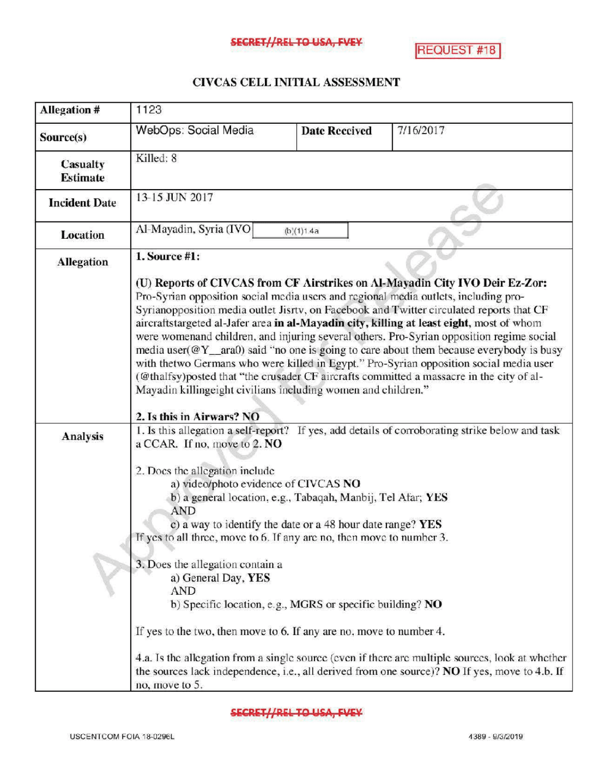## SECRET//REL TO USA, FVEY

**REQUEST #18** 

## CIVCAS CELL INITIAL ASSESSMENT

| <b>Allegation #</b>  | 1123                                                                                                                                                                                                                                                                                                                                                                                                                                                                                                                                                                                                                                                                                                                                                                                                                                                      |                      |                                                                                                                                                                                                     |  |
|----------------------|-----------------------------------------------------------------------------------------------------------------------------------------------------------------------------------------------------------------------------------------------------------------------------------------------------------------------------------------------------------------------------------------------------------------------------------------------------------------------------------------------------------------------------------------------------------------------------------------------------------------------------------------------------------------------------------------------------------------------------------------------------------------------------------------------------------------------------------------------------------|----------------------|-----------------------------------------------------------------------------------------------------------------------------------------------------------------------------------------------------|--|
| Source(s)            | WebOps: Social Media                                                                                                                                                                                                                                                                                                                                                                                                                                                                                                                                                                                                                                                                                                                                                                                                                                      | <b>Date Reccived</b> | 7/16/2017                                                                                                                                                                                           |  |
| Casualty<br>Estimate | Killed: 8                                                                                                                                                                                                                                                                                                                                                                                                                                                                                                                                                                                                                                                                                                                                                                                                                                                 |                      |                                                                                                                                                                                                     |  |
| <b>Incident Date</b> | 13-15 JUN 2017                                                                                                                                                                                                                                                                                                                                                                                                                                                                                                                                                                                                                                                                                                                                                                                                                                            |                      |                                                                                                                                                                                                     |  |
| <b>Location</b>      | Al-Mayadin, Syria (IVO                                                                                                                                                                                                                                                                                                                                                                                                                                                                                                                                                                                                                                                                                                                                                                                                                                    | (b)(1)1.4a           |                                                                                                                                                                                                     |  |
| <b>Allegation</b>    | 1. Source #1:<br>(U) Reports of CIVCAS from CF Airstrikes on Al-Mayadin City IVO Deir Ez-Zor:<br>Pro-Syrian opposition social media users and regional media outlets, including pro-<br>Syrianopposition media outlet Jisrtv, on Facebook and Twitter circulated reports that CF<br>aircraftstargeted al-Jafer area in al-Mayadin city, killing at least eight, most of whom<br>were womenand children, and injuring several others. Pro-Syrian opposition regime social<br>media user( $@Y$ ara0) said "no one is going to care about them because everybody is busy<br>with thetwo Germans who were killed in Egypt." Pro-Syrian opposition social media user<br>(@thalfsy)posted that "the crusader CF aircrafts committed a massacre in the city of al-<br>Mayadin killingeight civilians including women and children."<br>2. Is this in Airwars? NO |                      |                                                                                                                                                                                                     |  |
| <b>Analysis</b>      | a CCAR. If no, move to 2. NO<br>2. Does the allegation include<br>a) video/photo evidence of CIVCAS NO<br>b) a general location, e.g., Tabaqah, Manbij, Tel Afar; YES<br><b>AND</b><br>c) a way to identify the date or a 48 hour date range? YES<br>If yes to all three, move to 6. If any are no, then move to number 3.<br>3. Does the allegation contain a<br>a) General Day, YES<br><b>AND</b><br>b) Specific location, e.g., MGRS or specific building? NO<br>If yes to the two, then move to 6. If any are no, move to number 4.                                                                                                                                                                                                                                                                                                                   |                      | 1. Is this allegation a self-report? If yes, add details of corroborating strike below and task<br>4.a. Is the allegation from a single source (even if there are multiple sources, look at whether |  |
|                      | no, move to 5.                                                                                                                                                                                                                                                                                                                                                                                                                                                                                                                                                                                                                                                                                                                                                                                                                                            |                      | the sources lack independence, i.e., all derived from one source)? NO If yes, move to 4.b. If                                                                                                       |  |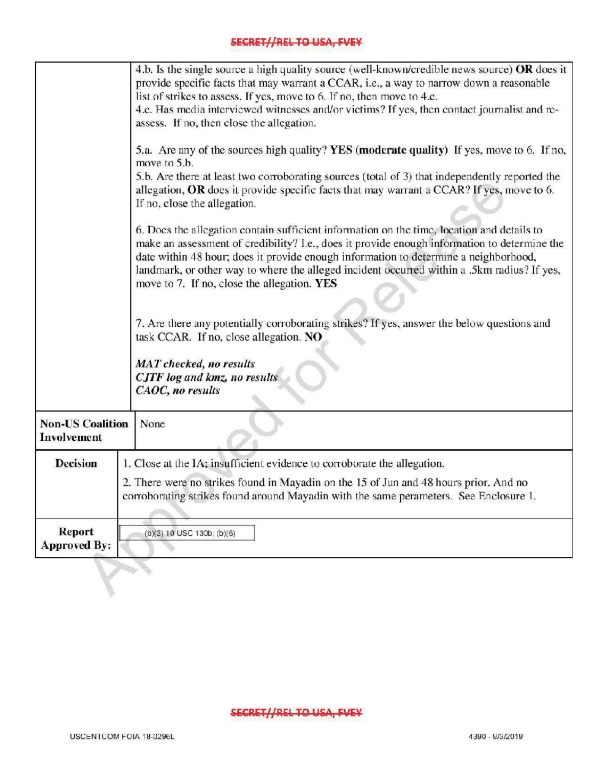## **SECRET//REL TO USA, FVEY**

|                                                                                                                                      | 4.b. Is the single source a high quality source (well-known/credible news source) OR does it<br>provide specific facts that may warrant a CCAR, i.e., a way to narrow down a reasonable<br>list of strikes to assess. If yes, move to 6. If no, then move to 4.c.<br>4.c. Has media interviewed witnesses and/or victims? If yes, then contact journalist and re-<br>assess. If no, then close the allegation.<br>5.a. Are any of the sources high quality? YES (moderate quality) If yes, move to 6. If no, |  |  |
|--------------------------------------------------------------------------------------------------------------------------------------|--------------------------------------------------------------------------------------------------------------------------------------------------------------------------------------------------------------------------------------------------------------------------------------------------------------------------------------------------------------------------------------------------------------------------------------------------------------------------------------------------------------|--|--|
|                                                                                                                                      | move to 5.b.                                                                                                                                                                                                                                                                                                                                                                                                                                                                                                 |  |  |
|                                                                                                                                      | 5.b. Are there at least two corroborating sources (total of 3) that independently reported the<br>allegation, OR does it provide specific facts that may warrant a CCAR? If yes, move to 6.                                                                                                                                                                                                                                                                                                                  |  |  |
|                                                                                                                                      | If no, close the allegation.                                                                                                                                                                                                                                                                                                                                                                                                                                                                                 |  |  |
|                                                                                                                                      | 6. Does the allegation contain sufficient information on the time, location and details to<br>make an assessment of credibility? I.e., does it provide enough information to determine the<br>date within 48 hour; does it provide enough information to determine a neighborhood,<br>landmark, or other way to where the alleged incident occurred within a .5km radius? If yes,<br>move to 7. If no, close the allegation. YES                                                                             |  |  |
| 7. Are there any potentially corroborating strikes? If yes, answer the below questions and<br>task CCAR. If no, close allegation. NO |                                                                                                                                                                                                                                                                                                                                                                                                                                                                                                              |  |  |
|                                                                                                                                      | <b>MAT</b> checked, no results<br>CJTF log and kmz, no results<br>CAOC, no results                                                                                                                                                                                                                                                                                                                                                                                                                           |  |  |
| <b>Non-US Coalition</b><br>Involvement                                                                                               | None                                                                                                                                                                                                                                                                                                                                                                                                                                                                                                         |  |  |
| Decision                                                                                                                             | 1. Close at the IA; insufficient evidence to corroborate the allegation.                                                                                                                                                                                                                                                                                                                                                                                                                                     |  |  |
|                                                                                                                                      | 2. There were no strikes found in Mayadin on the 15 of Jun and 48 hours prior. And no<br>corroborating strikes found around Mayadin with the same perameters. See Enclosure 1.                                                                                                                                                                                                                                                                                                                               |  |  |
| <b>Report</b><br><b>Approved By:</b>                                                                                                 | (b)(3) 10 USC 130b; (b)(6)                                                                                                                                                                                                                                                                                                                                                                                                                                                                                   |  |  |
|                                                                                                                                      |                                                                                                                                                                                                                                                                                                                                                                                                                                                                                                              |  |  |